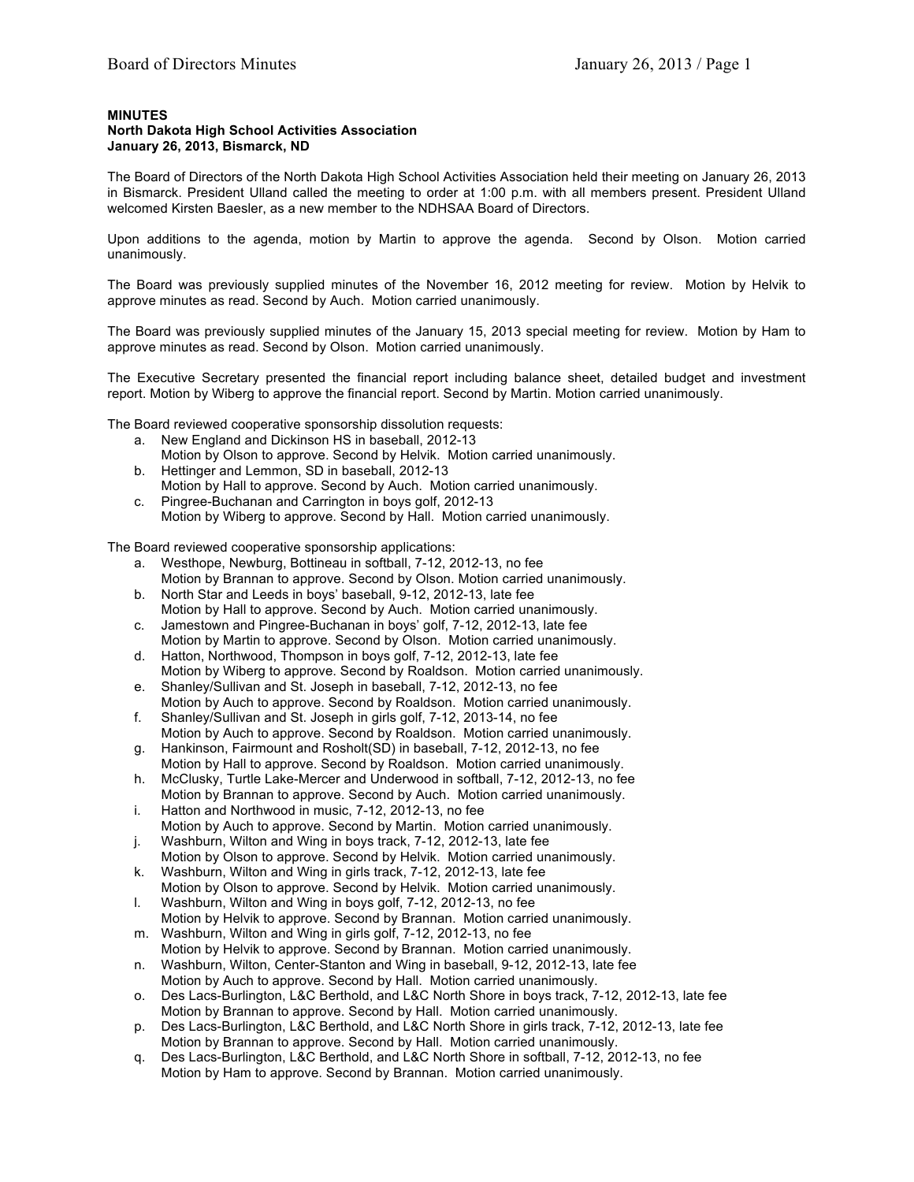## **MINUTES**

## **North Dakota High School Activities Association January 26, 2013, Bismarck, ND**

The Board of Directors of the North Dakota High School Activities Association held their meeting on January 26, 2013 in Bismarck. President Ulland called the meeting to order at 1:00 p.m. with all members present. President Ulland welcomed Kirsten Baesler, as a new member to the NDHSAA Board of Directors.

Upon additions to the agenda, motion by Martin to approve the agenda. Second by Olson. Motion carried unanimously.

The Board was previously supplied minutes of the November 16, 2012 meeting for review. Motion by Helvik to approve minutes as read. Second by Auch. Motion carried unanimously.

The Board was previously supplied minutes of the January 15, 2013 special meeting for review. Motion by Ham to approve minutes as read. Second by Olson. Motion carried unanimously.

The Executive Secretary presented the financial report including balance sheet, detailed budget and investment report. Motion by Wiberg to approve the financial report. Second by Martin. Motion carried unanimously.

The Board reviewed cooperative sponsorship dissolution requests:

- a. New England and Dickinson HS in baseball, 2012-13 Motion by Olson to approve. Second by Helvik. Motion carried unanimously.
- b. Hettinger and Lemmon, SD in baseball, 2012-13
- Motion by Hall to approve. Second by Auch. Motion carried unanimously. c. Pingree-Buchanan and Carrington in boys golf, 2012-13
- Motion by Wiberg to approve. Second by Hall. Motion carried unanimously.

The Board reviewed cooperative sponsorship applications:

- a. Westhope, Newburg, Bottineau in softball, 7-12, 2012-13, no fee Motion by Brannan to approve. Second by Olson. Motion carried unanimously.
- b. North Star and Leeds in boys' baseball, 9-12, 2012-13, late fee Motion by Hall to approve. Second by Auch. Motion carried unanimously.
- c. Jamestown and Pingree-Buchanan in boys' golf, 7-12, 2012-13, late fee Motion by Martin to approve. Second by Olson. Motion carried unanimously.
- d. Hatton, Northwood, Thompson in boys golf, 7-12, 2012-13, late fee Motion by Wiberg to approve. Second by Roaldson. Motion carried unanimously.
- e. Shanley/Sullivan and St. Joseph in baseball, 7-12, 2012-13, no fee Motion by Auch to approve. Second by Roaldson. Motion carried unanimously.
- f. Shanley/Sullivan and St. Joseph in girls golf, 7-12, 2013-14, no fee Motion by Auch to approve. Second by Roaldson. Motion carried unanimously.
- g. Hankinson, Fairmount and Rosholt(SD) in baseball, 7-12, 2012-13, no fee Motion by Hall to approve. Second by Roaldson. Motion carried unanimously.
- h. McClusky, Turtle Lake-Mercer and Underwood in softball, 7-12, 2012-13, no fee
- Motion by Brannan to approve. Second by Auch. Motion carried unanimously. i. Hatton and Northwood in music, 7-12, 2012-13, no fee
- Motion by Auch to approve. Second by Martin. Motion carried unanimously. j. Washburn, Wilton and Wing in boys track, 7-12, 2012-13, late fee
- Motion by Olson to approve. Second by Helvik. Motion carried unanimously.
- k. Washburn, Wilton and Wing in girls track, 7-12, 2012-13, late fee Motion by Olson to approve. Second by Helvik. Motion carried unanimously.
- l. Washburn, Wilton and Wing in boys golf, 7-12, 2012-13, no fee Motion by Helvik to approve. Second by Brannan. Motion carried unanimously.
- m. Washburn, Wilton and Wing in girls golf, 7-12, 2012-13, no fee Motion by Helvik to approve. Second by Brannan. Motion carried unanimously.
- n. Washburn, Wilton, Center-Stanton and Wing in baseball, 9-12, 2012-13, late fee Motion by Auch to approve. Second by Hall. Motion carried unanimously.
- o. Des Lacs-Burlington, L&C Berthold, and L&C North Shore in boys track, 7-12, 2012-13, late fee Motion by Brannan to approve. Second by Hall. Motion carried unanimously.
- p. Des Lacs-Burlington, L&C Berthold, and L&C North Shore in girls track, 7-12, 2012-13, late fee Motion by Brannan to approve. Second by Hall. Motion carried unanimously.
- q. Des Lacs-Burlington, L&C Berthold, and L&C North Shore in softball, 7-12, 2012-13, no fee Motion by Ham to approve. Second by Brannan. Motion carried unanimously.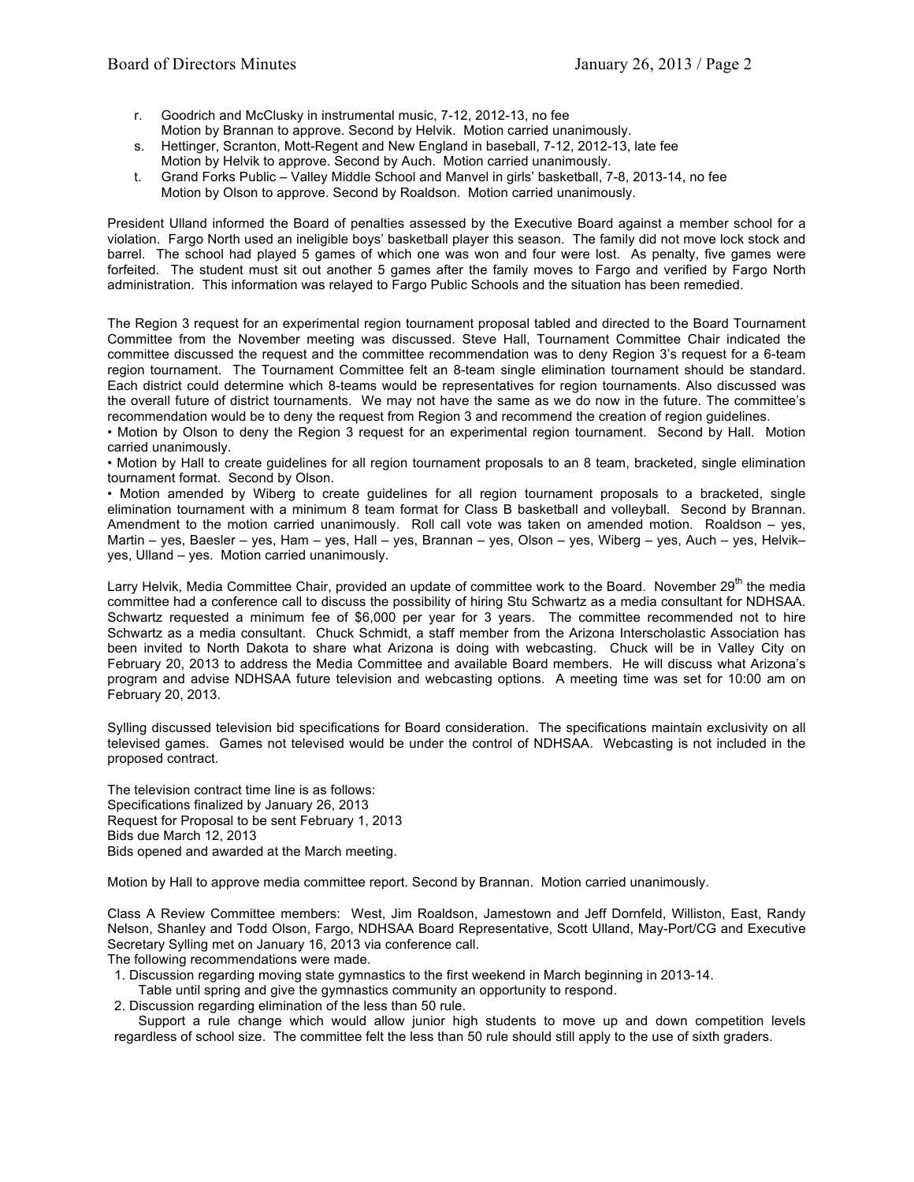- r. Goodrich and McClusky in instrumental music, 7-12, 2012-13, no fee Motion by Brannan to approve. Second by Helvik. Motion carried unanimously.
- s. Hettinger, Scranton, Mott-Regent and New England in baseball, 7-12, 2012-13, late fee Motion by Helvik to approve. Second by Auch. Motion carried unanimously.
- t. Grand Forks Public Valley Middle School and Manvel in girls' basketball, 7-8, 2013-14, no fee Motion by Olson to approve. Second by Roaldson. Motion carried unanimously.

President Ulland informed the Board of penalties assessed by the Executive Board against a member school for a violation. Fargo North used an ineligible boys' basketball player this season. The family did not move lock stock and barrel. The school had played 5 games of which one was won and four were lost. As penalty, five games were forfeited. The student must sit out another 5 games after the family moves to Fargo and verified by Fargo North administration. This information was relayed to Fargo Public Schools and the situation has been remedied.

The Region 3 request for an experimental region tournament proposal tabled and directed to the Board Tournament Committee from the November meeting was discussed. Steve Hall, Tournament Committee Chair indicated the committee discussed the request and the committee recommendation was to deny Region 3's request for a 6-team region tournament. The Tournament Committee felt an 8-team single elimination tournament should be standard. Each district could determine which 8-teams would be representatives for region tournaments. Also discussed was the overall future of district tournaments. We may not have the same as we do now in the future. The committee's recommendation would be to deny the request from Region 3 and recommend the creation of region guidelines.

• Motion by Olson to deny the Region 3 request for an experimental region tournament. Second by Hall. Motion carried unanimously.

• Motion by Hall to create guidelines for all region tournament proposals to an 8 team, bracketed, single elimination tournament format. Second by Olson.

• Motion amended by Wiberg to create guidelines for all region tournament proposals to a bracketed, single elimination tournament with a minimum 8 team format for Class B basketball and volleyball. Second by Brannan. Amendment to the motion carried unanimously. Roll call vote was taken on amended motion. Roaldson – yes, Martin – yes, Baesler – yes, Ham – yes, Hall – yes, Brannan – yes, Olson – yes, Wiberg – yes, Auch – yes, Helvik– yes, Ulland – yes. Motion carried unanimously.

Larry Helvik, Media Committee Chair, provided an update of committee work to the Board. November 29<sup>th</sup> the media committee had a conference call to discuss the possibility of hiring Stu Schwartz as a media consultant for NDHSAA. Schwartz requested a minimum fee of \$6,000 per year for 3 years. The committee recommended not to hire Schwartz as a media consultant. Chuck Schmidt, a staff member from the Arizona Interscholastic Association has been invited to North Dakota to share what Arizona is doing with webcasting. Chuck will be in Valley City on February 20, 2013 to address the Media Committee and available Board members. He will discuss what Arizona's program and advise NDHSAA future television and webcasting options. A meeting time was set for 10:00 am on February 20, 2013.

Sylling discussed television bid specifications for Board consideration. The specifications maintain exclusivity on all televised games. Games not televised would be under the control of NDHSAA. Webcasting is not included in the proposed contract.

The television contract time line is as follows: Specifications finalized by January 26, 2013 Request for Proposal to be sent February 1, 2013 Bids due March 12, 2013 Bids opened and awarded at the March meeting.

Motion by Hall to approve media committee report. Second by Brannan. Motion carried unanimously.

Class A Review Committee members: West, Jim Roaldson, Jamestown and Jeff Dornfeld, Williston, East, Randy Nelson, Shanley and Todd Olson, Fargo, NDHSAA Board Representative, Scott Ulland, May-Port/CG and Executive Secretary Sylling met on January 16, 2013 via conference call.

The following recommendations were made.

- 1. Discussion regarding moving state gymnastics to the first weekend in March beginning in 2013-14.
- Table until spring and give the gymnastics community an opportunity to respond.

2. Discussion regarding elimination of the less than 50 rule.

 Support a rule change which would allow junior high students to move up and down competition levels regardless of school size. The committee felt the less than 50 rule should still apply to the use of sixth graders.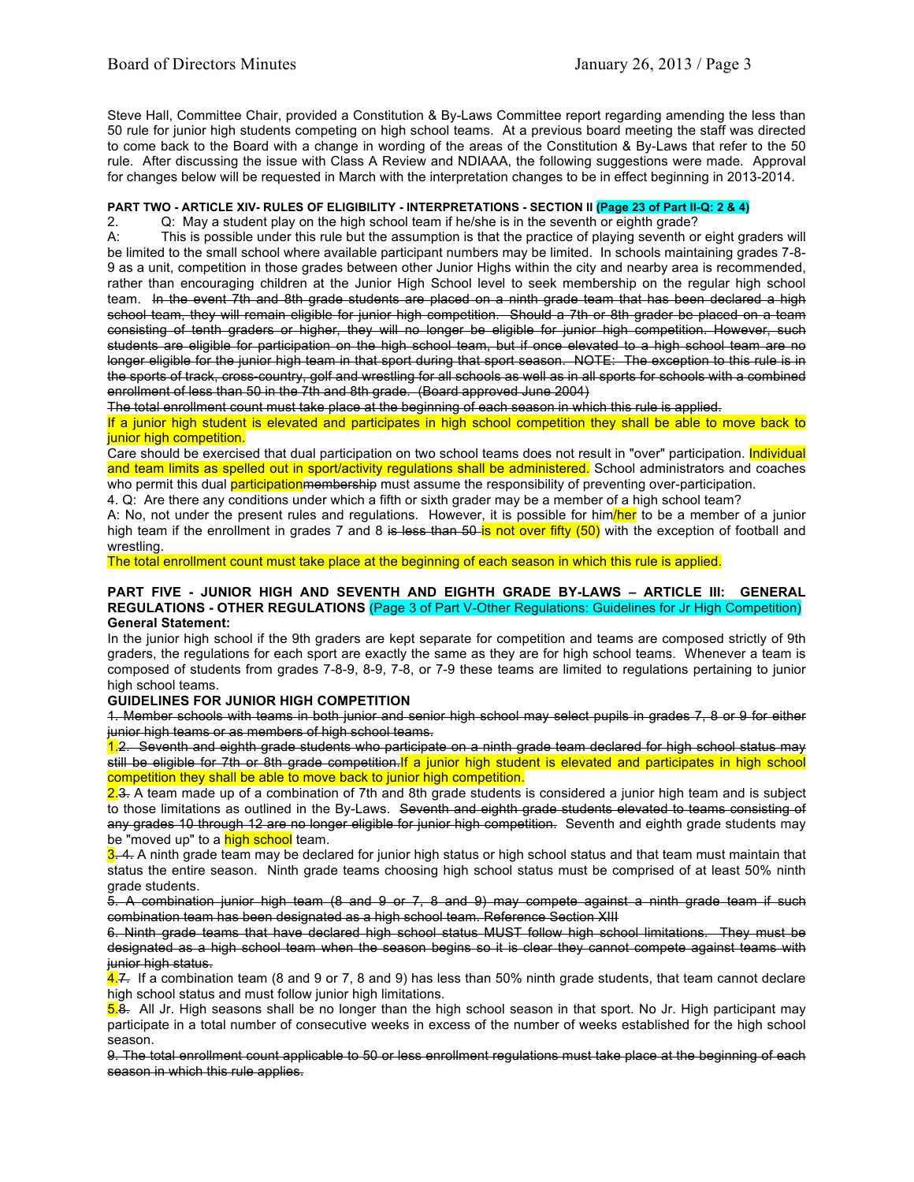Steve Hall, Committee Chair, provided a Constitution & By-Laws Committee report regarding amending the less than 50 rule for junior high students competing on high school teams. At a previous board meeting the staff was directed to come back to the Board with a change in wording of the areas of the Constitution & By-Laws that refer to the 50 rule. After discussing the issue with Class A Review and NDIAAA, the following suggestions were made. Approval for changes below will be requested in March with the interpretation changes to be in effect beginning in 2013-2014.

# **PART TWO - ARTICLE XIV- RULES OF ELIGIBILITY - INTERPRETATIONS - SECTION II (Page 23 of Part II-Q: 2 & 4)**

2. Q: May a student play on the high school team if he/she is in the seventh or eighth grade?

A: This is possible under this rule but the assumption is that the practice of playing seventh or eight graders will be limited to the small school where available participant numbers may be limited. In schools maintaining grades 7-8- 9 as a unit, competition in those grades between other Junior Highs within the city and nearby area is recommended, rather than encouraging children at the Junior High School level to seek membership on the regular high school team. In the event 7th and 8th grade students are placed on a ninth grade team that has been declared a high school team, they will remain eligible for junior high competition. Should a 7th or 8th grader be placed on a team consisting of tenth graders or higher, they will no longer be eligible for junior high competition. However, such students are eligible for participation on the high school team, but if once elevated to a high school team are no longer eligible for the junior high team in that sport during that sport season. NOTE: The exception to this rule is in the sports of track, cross-country, golf and wrestling for all schools as well as in all sports for schools with a combined enrollment of less than 50 in the 7th and 8th grade. (Board approved June 2004)

The total enrollment count must take place at the beginning of each season in which this rule is applied.

If a junior high student is elevated and participates in high school competition they shall be able to move back to junior high competition.

Care should be exercised that dual participation on two school teams does not result in "over" participation. Individual and team limits as spelled out in sport/activity regulations shall be administered. School administrators and coaches who permit this dual **participation** membership must assume the responsibility of preventing over-participation.

4. Q: Are there any conditions under which a fifth or sixth grader may be a member of a high school team?

A: No, not under the present rules and regulations. However, it is possible for him/her to be a member of a junior high team if the enrollment in grades 7 and 8 is less than  $50$  is not over fifty ( $50$ ) with the exception of football and wrestling.

The total enrollment count must take place at the beginning of each season in which this rule is applied.

#### **PART FIVE - JUNIOR HIGH AND SEVENTH AND EIGHTH GRADE BY-LAWS – ARTICLE III: GENERAL REGULATIONS - OTHER REGULATIONS** (Page 3 of Part V-Other Regulations: Guidelines for Jr High Competition) **General Statement:**

In the junior high school if the 9th graders are kept separate for competition and teams are composed strictly of 9th graders, the regulations for each sport are exactly the same as they are for high school teams. Whenever a team is composed of students from grades 7-8-9, 8-9, 7-8, or 7-9 these teams are limited to regulations pertaining to junior high school teams.

## **GUIDELINES FOR JUNIOR HIGH COMPETITION**

1. Member schools with teams in both junior and senior high school may select pupils in grades 7, 8 or 9 for either junior high teams or as members of high school teams.

1.2. Seventh and eighth grade students who participate on a ninth grade team declared for high school status may still be eligible for 7th or 8th grade competition. If a junior high student is elevated and participates in high school competition they shall be able to move back to junior high competition.

2.3. A team made up of a combination of 7th and 8th grade students is considered a junior high team and is subject to those limitations as outlined in the By-Laws. Seventh and eighth grade students elevated to teams consisting of any grades 10 through 12 are no longer eligible for junior high competition. Seventh and eighth grade students may be "moved up" to a high school team.

 $3.4$ . A ninth grade team may be declared for junior high status or high school status and that team must maintain that status the entire season. Ninth grade teams choosing high school status must be comprised of at least 50% ninth grade students.

5. A combination junior high team (8 and 9 or 7, 8 and 9) may compete against a ninth grade team if such combination team has been designated as a high school team. Reference Section XIII

6. Ninth grade teams that have declared high school status MUST follow high school limitations. They must be designated as a high school team when the season begins so it is clear they cannot compete against teams with junior high status.

4.7. If a combination team (8 and 9 or 7, 8 and 9) has less than 50% ninth grade students, that team cannot declare high school status and must follow junior high limitations.

5.8. All Jr. High seasons shall be no longer than the high school season in that sport. No Jr. High participant may participate in a total number of consecutive weeks in excess of the number of weeks established for the high school season.

9. The total enrollment count applicable to 50 or less enrollment regulations must take place at the beginning of each season in which this rule applies.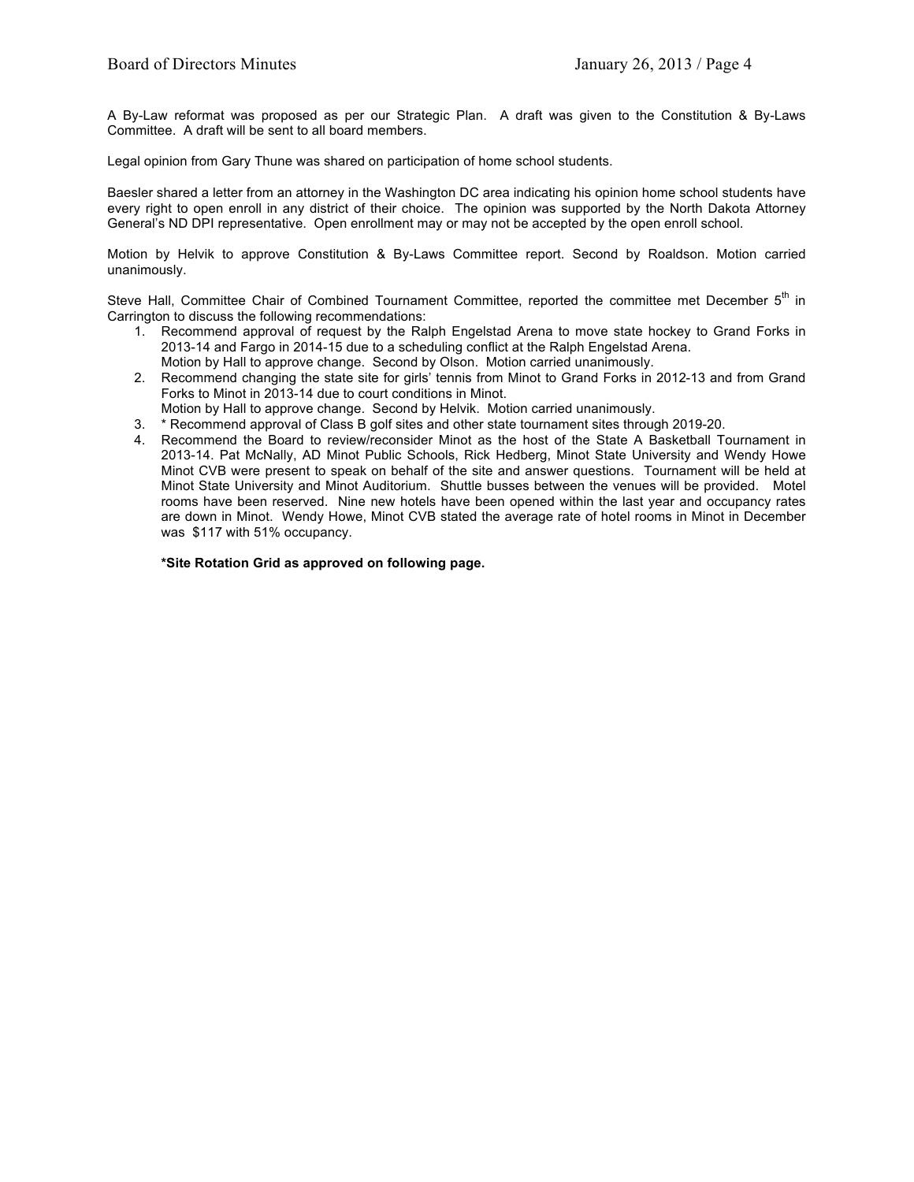A By-Law reformat was proposed as per our Strategic Plan. A draft was given to the Constitution & By-Laws Committee. A draft will be sent to all board members.

Legal opinion from Gary Thune was shared on participation of home school students.

Baesler shared a letter from an attorney in the Washington DC area indicating his opinion home school students have every right to open enroll in any district of their choice. The opinion was supported by the North Dakota Attorney General's ND DPI representative. Open enrollment may or may not be accepted by the open enroll school.

Motion by Helvik to approve Constitution & By-Laws Committee report. Second by Roaldson. Motion carried unanimously.

Steve Hall, Committee Chair of Combined Tournament Committee, reported the committee met December 5<sup>th</sup> in Carrington to discuss the following recommendations:

- 1. Recommend approval of request by the Ralph Engelstad Arena to move state hockey to Grand Forks in 2013-14 and Fargo in 2014-15 due to a scheduling conflict at the Ralph Engelstad Arena. Motion by Hall to approve change. Second by Olson. Motion carried unanimously.
- 2. Recommend changing the state site for girls' tennis from Minot to Grand Forks in 2012-13 and from Grand Forks to Minot in 2013-14 due to court conditions in Minot.
- Motion by Hall to approve change. Second by Helvik. Motion carried unanimously.
- 3. \* Recommend approval of Class B golf sites and other state tournament sites through 2019-20.
- 4. Recommend the Board to review/reconsider Minot as the host of the State A Basketball Tournament in 2013-14. Pat McNally, AD Minot Public Schools, Rick Hedberg, Minot State University and Wendy Howe Minot CVB were present to speak on behalf of the site and answer questions. Tournament will be held at Minot State University and Minot Auditorium. Shuttle busses between the venues will be provided. Motel rooms have been reserved. Nine new hotels have been opened within the last year and occupancy rates are down in Minot. Wendy Howe, Minot CVB stated the average rate of hotel rooms in Minot in December was \$117 with 51% occupancy.

**\*Site Rotation Grid as approved on following page.**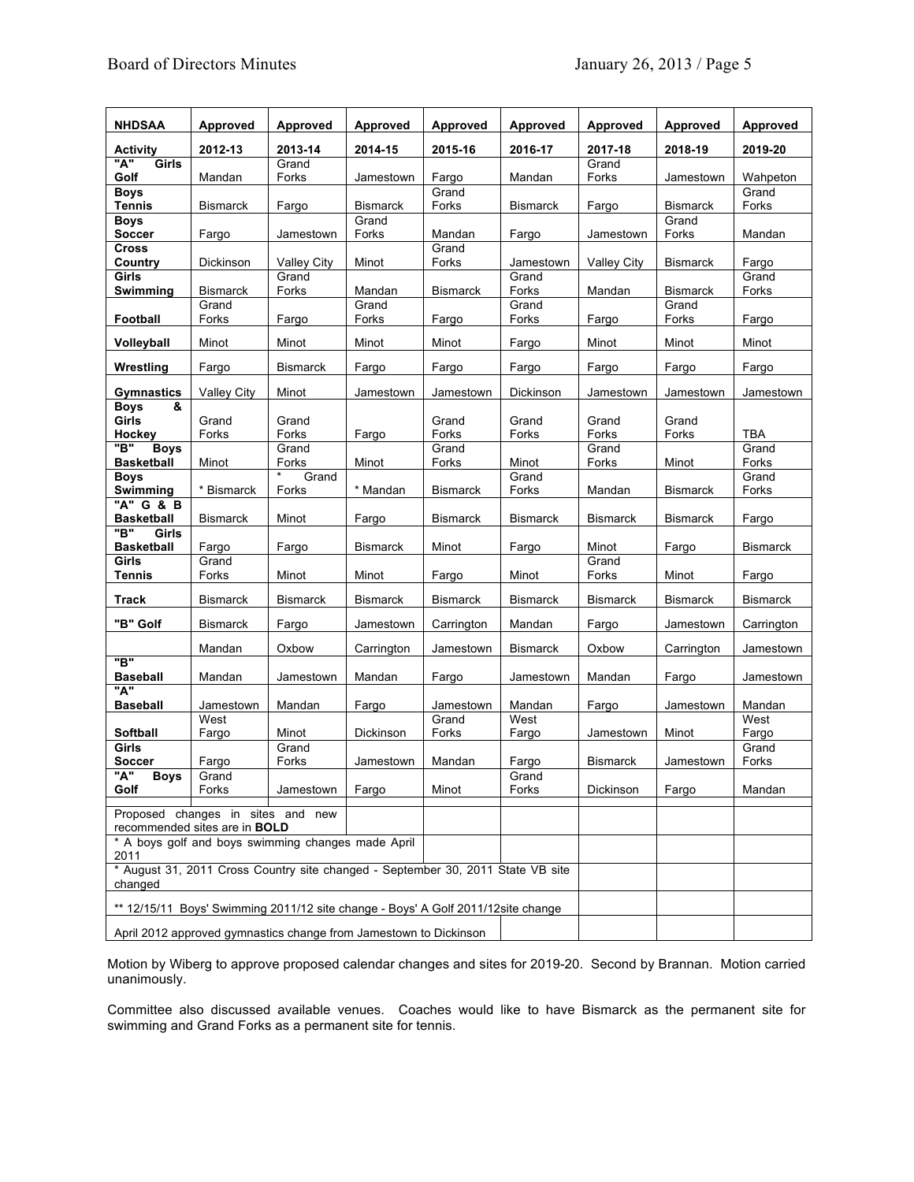| <b>NHDSAA</b>                                                                              | Approved           | Approved           | Approved                 | Approved        | Approved        | Approved           | <b>Approved</b>          | Approved       |
|--------------------------------------------------------------------------------------------|--------------------|--------------------|--------------------------|-----------------|-----------------|--------------------|--------------------------|----------------|
| <b>Activity</b>                                                                            | 2012-13            | 2013-14            | 2014-15                  | 2015-16         | 2016-17         | 2017-18            | 2018-19                  | 2019-20        |
| "A"<br>Girls                                                                               |                    | Grand              |                          |                 |                 | Grand              |                          |                |
| Golf                                                                                       | Mandan             | Forks              | Jamestown                | Fargo           | Mandan          | Forks              | Jamestown                | Wahpeton       |
| <b>Boys</b>                                                                                |                    |                    |                          | Grand           |                 |                    |                          | Grand          |
| Tennis<br><b>Boys</b>                                                                      | <b>Bismarck</b>    | Fargo              | <b>Bismarck</b><br>Grand | Forks           | <b>Bismarck</b> | Fargo              | <b>Bismarck</b><br>Grand | Forks          |
| <b>Soccer</b>                                                                              | Fargo              | Jamestown          | Forks                    | Mandan          | Fargo           | Jamestown          | Forks                    | Mandan         |
| Cross                                                                                      |                    |                    |                          | Grand           |                 |                    |                          |                |
| Country                                                                                    | Dickinson          | <b>Valley City</b> | Minot                    | Forks           | Jamestown       | <b>Valley City</b> | <b>Bismarck</b>          | Fargo          |
| Girls                                                                                      | <b>Bismarck</b>    | Grand<br>Forks     | Mandan                   |                 | Grand<br>Forks  | Mandan             | <b>Bismarck</b>          | Grand<br>Forks |
| Swimming                                                                                   | Grand              |                    | Grand                    | <b>Bismarck</b> | Grand           |                    | Grand                    |                |
| Football                                                                                   | Forks              | Fargo              | Forks                    | Fargo           | Forks           | Fargo              | Forks                    | Fargo          |
|                                                                                            |                    |                    |                          |                 |                 |                    |                          |                |
| Volleyball                                                                                 | Minot              | Minot              | Minot                    | Minot           | Fargo           | Minot              | Minot                    | Minot          |
| Wrestling                                                                                  | Fargo              | <b>Bismarck</b>    | Fargo                    | Fargo           | Fargo           | Fargo              | Fargo                    | Fargo          |
| Gymnastics                                                                                 | <b>Valley City</b> | Minot              | Jamestown                | Jamestown       | Dickinson       | Jamestown          | Jamestown                | Jamestown      |
| &<br><b>Boys</b>                                                                           |                    |                    |                          |                 |                 |                    |                          |                |
| Girls<br>Hockey                                                                            | Grand<br>Forks     | Grand<br>Forks     |                          | Grand<br>Forks  | Grand<br>Forks  | Grand<br>Forks     | Grand<br>Forks           | <b>TBA</b>     |
| "В"<br><b>Boys</b>                                                                         |                    | Grand              | Fargo                    | Grand           |                 | Grand              |                          | Grand          |
| <b>Basketball</b>                                                                          | Minot              | Forks              | Minot                    | Forks           | Minot           | Forks              | Minot                    | Forks          |
| <b>Boys</b>                                                                                |                    | Grand              |                          |                 | Grand           |                    |                          | Grand          |
| Swimming                                                                                   | * Bismarck         | Forks              | * Mandan                 | <b>Bismarck</b> | Forks           | Mandan             | <b>Bismarck</b>          | Forks          |
| "A" G & B<br><b>Basketball</b>                                                             | <b>Bismarck</b>    | Minot              | Fargo                    | <b>Bismarck</b> | <b>Bismarck</b> | <b>Bismarck</b>    | <b>Bismarck</b>          | Fargo          |
| "В"<br>Girls                                                                               |                    |                    |                          |                 |                 |                    |                          |                |
| <b>Basketball</b>                                                                          | Fargo              | Fargo              | <b>Bismarck</b>          | Minot           | Fargo           | Minot              | Fargo                    | Bismarck       |
| Girls<br>Tennis                                                                            | Grand<br>Forks     | Minot              | Minot                    | Fargo           | Minot           | Grand<br>Forks     | Minot                    | Fargo          |
|                                                                                            |                    |                    |                          |                 |                 |                    |                          |                |
| Track                                                                                      | <b>Bismarck</b>    | <b>Bismarck</b>    | <b>Bismarck</b>          | <b>Bismarck</b> | <b>Bismarck</b> | <b>Bismarck</b>    | <b>Bismarck</b>          | Bismarck       |
| "B" Golf                                                                                   | <b>Bismarck</b>    | Fargo              | Jamestown                | Carrington      | Mandan          | Fargo              | Jamestown                | Carrington     |
|                                                                                            | Mandan             | Oxbow              | Carrington               | Jamestown       | <b>Bismarck</b> | Oxbow              | Carrington               | Jamestown      |
| "B"<br><b>Baseball</b>                                                                     | Mandan             | Jamestown          | Mandan                   | Fargo           | Jamestown       | Mandan             | Fargo                    | Jamestown      |
| "A"                                                                                        |                    |                    |                          |                 |                 |                    |                          |                |
| Baseball                                                                                   | Jamestown          | Mandan             | Fargo                    | Jamestown       | Mandan          | Fargo              | Jamestown                | Mandan         |
|                                                                                            | West               |                    |                          | Grand           | West            |                    |                          | West           |
| Softball<br>Girls                                                                          | Fargo              | Minot<br>Grand     | Dickinson                | Forks           | Fargo           | Jamestown          | Minot                    | Fargo<br>Grand |
| <b>Soccer</b>                                                                              | Fargo              | Forks              | Jamestown                | Mandan          | Fargo           | <b>Bismarck</b>    | Jamestown                | Forks          |
| "A"<br>Boys                                                                                | Grand              |                    |                          |                 | Grand           |                    |                          |                |
| Golf                                                                                       | Forks              | Jamestown          | Fargo                    | Minot           | Forks           | Dickinson          | Fargo                    | Mandan         |
| Proposed changes in sites and new<br>recommended sites are in <b>BOLD</b>                  |                    |                    |                          |                 |                 |                    |                          |                |
| * A boys golf and boys swimming changes made April<br>2011                                 |                    |                    |                          |                 |                 |                    |                          |                |
| * August 31, 2011 Cross Country site changed - September 30, 2011 State VB site<br>changed |                    |                    |                          |                 |                 |                    |                          |                |
| ** 12/15/11 Boys' Swimming 2011/12 site change - Boys' A Golf 2011/12site change           |                    |                    |                          |                 |                 |                    |                          |                |
| April 2012 approved gymnastics change from Jamestown to Dickinson                          |                    |                    |                          |                 |                 |                    |                          |                |

Motion by Wiberg to approve proposed calendar changes and sites for 2019-20. Second by Brannan. Motion carried unanimously.

Committee also discussed available venues. Coaches would like to have Bismarck as the permanent site for swimming and Grand Forks as a permanent site for tennis.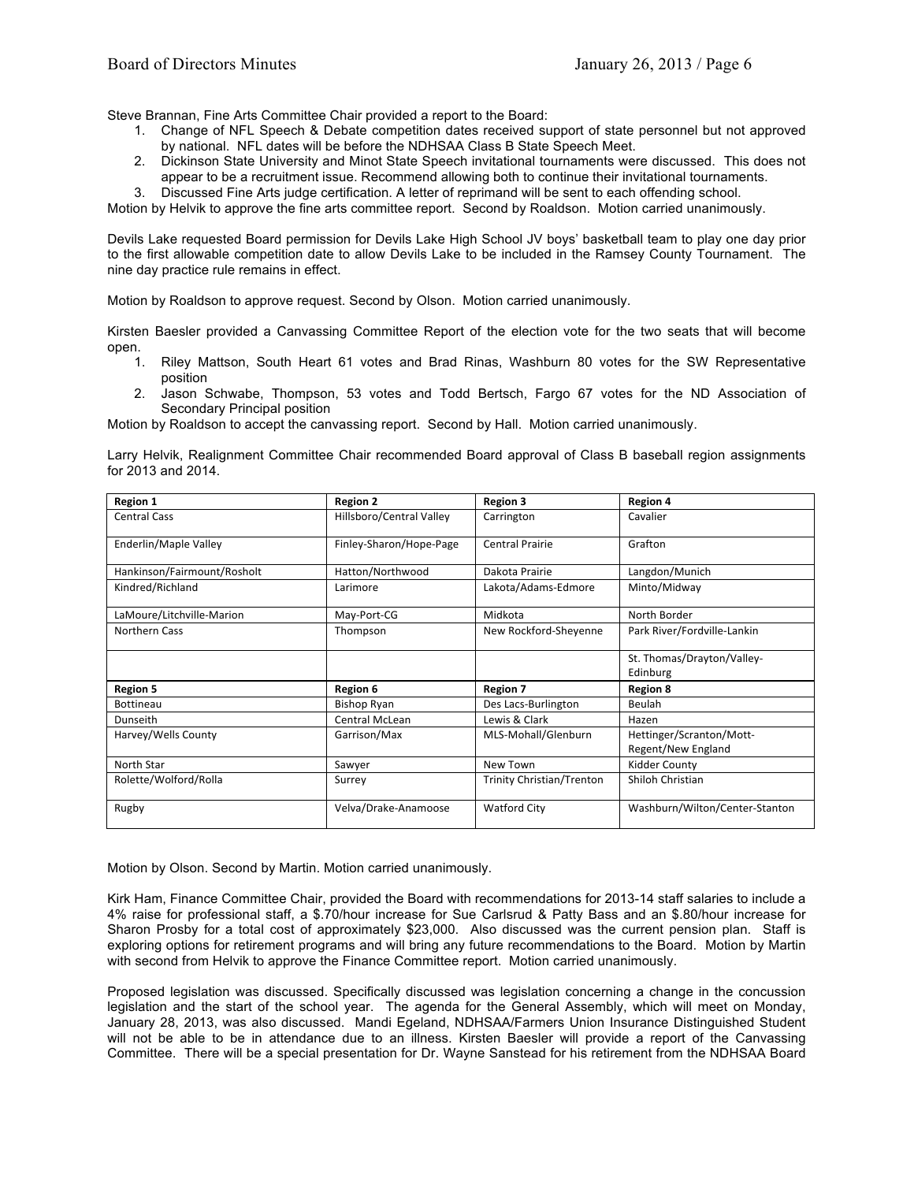Steve Brannan, Fine Arts Committee Chair provided a report to the Board:

- 1. Change of NFL Speech & Debate competition dates received support of state personnel but not approved by national. NFL dates will be before the NDHSAA Class B State Speech Meet.
- 2. Dickinson State University and Minot State Speech invitational tournaments were discussed. This does not appear to be a recruitment issue. Recommend allowing both to continue their invitational tournaments.
- 3. Discussed Fine Arts judge certification. A letter of reprimand will be sent to each offending school.

Motion by Helvik to approve the fine arts committee report. Second by Roaldson. Motion carried unanimously.

Devils Lake requested Board permission for Devils Lake High School JV boys' basketball team to play one day prior to the first allowable competition date to allow Devils Lake to be included in the Ramsey County Tournament. The nine day practice rule remains in effect.

Motion by Roaldson to approve request. Second by Olson. Motion carried unanimously.

Kirsten Baesler provided a Canvassing Committee Report of the election vote for the two seats that will become open.

- 1. Riley Mattson, South Heart 61 votes and Brad Rinas, Washburn 80 votes for the SW Representative position
- 2. Jason Schwabe, Thompson, 53 votes and Todd Bertsch, Fargo 67 votes for the ND Association of Secondary Principal position

Motion by Roaldson to accept the canvassing report. Second by Hall. Motion carried unanimously.

Larry Helvik, Realignment Committee Chair recommended Board approval of Class B baseball region assignments for 2013 and 2014.

| <b>Region 1</b>             | <b>Region 2</b>          | <b>Region 3</b>                  | <b>Region 4</b>                |
|-----------------------------|--------------------------|----------------------------------|--------------------------------|
| <b>Central Cass</b>         | Hillsboro/Central Valley | Carrington                       | Cavalier                       |
| Enderlin/Maple Valley       | Finley-Sharon/Hope-Page  | <b>Central Prairie</b>           | Grafton                        |
| Hankinson/Fairmount/Rosholt | Hatton/Northwood         | Dakota Prairie                   | Langdon/Munich                 |
| Kindred/Richland            | Larimore                 | Lakota/Adams-Edmore              | Minto/Midway                   |
| LaMoure/Litchville-Marion   | May-Port-CG              | Midkota                          | North Border                   |
| <b>Northern Cass</b>        | Thompson                 | New Rockford-Sheyenne            | Park River/Fordville-Lankin    |
|                             |                          |                                  | St. Thomas/Drayton/Valley-     |
|                             |                          |                                  | Edinburg                       |
| <b>Region 5</b>             | Region 6                 | <b>Region 7</b>                  | <b>Region 8</b>                |
| <b>Bottineau</b>            | Bishop Ryan              | Des Lacs-Burlington              | Beulah                         |
| Dunseith                    | Central McLean           | Lewis & Clark                    | Hazen                          |
| Harvey/Wells County         | Garrison/Max             | MLS-Mohall/Glenburn              | Hettinger/Scranton/Mott-       |
|                             |                          |                                  | Regent/New England             |
| North Star                  | Sawyer                   | New Town                         | Kidder County                  |
| Rolette/Wolford/Rolla       | Surrey                   | <b>Trinity Christian/Trenton</b> | Shiloh Christian               |
| Rugby                       | Velva/Drake-Anamoose     | <b>Watford City</b>              | Washburn/Wilton/Center-Stanton |

Motion by Olson. Second by Martin. Motion carried unanimously.

Kirk Ham, Finance Committee Chair, provided the Board with recommendations for 2013-14 staff salaries to include a 4% raise for professional staff, a \$.70/hour increase for Sue Carlsrud & Patty Bass and an \$.80/hour increase for Sharon Prosby for a total cost of approximately \$23,000. Also discussed was the current pension plan. Staff is exploring options for retirement programs and will bring any future recommendations to the Board. Motion by Martin with second from Helvik to approve the Finance Committee report. Motion carried unanimously.

Proposed legislation was discussed. Specifically discussed was legislation concerning a change in the concussion legislation and the start of the school year. The agenda for the General Assembly, which will meet on Monday, January 28, 2013, was also discussed. Mandi Egeland, NDHSAA/Farmers Union Insurance Distinguished Student will not be able to be in attendance due to an illness. Kirsten Baesler will provide a report of the Canvassing Committee. There will be a special presentation for Dr. Wayne Sanstead for his retirement from the NDHSAA Board